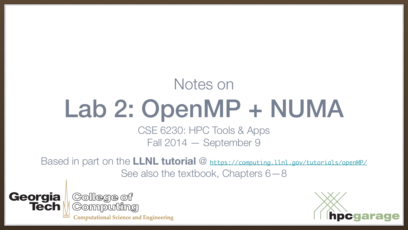#### Notes on Lab 2: OpenMP + NUMA CSE 6230: HPC Tools & Apps Fall 2014 - September 9

Based in part on the LLNL tutorial @ https://computing.11n1.gov/tutorials/openMP/ See also the textbook, Chapters 6-8





**Computational Science and Engineering** 



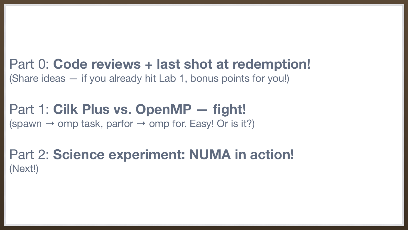#### Part 0: **Code reviews + last shot at redemption!** (Share ideas — if you already hit Lab 1, bonus points for you!)

#### Part 1: **Cilk Plus vs. OpenMP — fight!**  $(spawn \rightarrow comp task, partner \rightarrow comp for. Easy! Or is it?)$

Part 2: **Science experiment: NUMA in action!** (Next!)

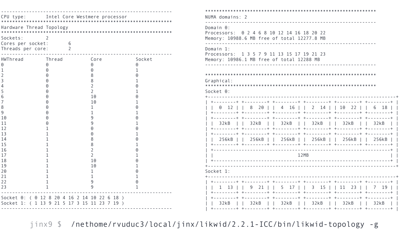|                                                                                                                                                                     |                                                                                                                    | CPU type: Intel Core Westmere processor                                                     |        |
|---------------------------------------------------------------------------------------------------------------------------------------------------------------------|--------------------------------------------------------------------------------------------------------------------|---------------------------------------------------------------------------------------------|--------|
|                                                                                                                                                                     | Hardware Thread Topology                                                                                           |                                                                                             |        |
| Sockets:<br>Cores per socket:<br>Threads per core:                                                                                                                  |                                                                                                                    | 6                                                                                           |        |
| HWThread<br>$\Theta$<br>$\overline{2}$<br>3<br>4<br>5<br>6<br>7<br>O.<br>Ŏ<br>9<br>10<br>11<br>12<br>13<br>14<br>15<br>16<br>17<br>18<br>19<br>20<br>21<br>22<br>23 | Thread<br>$\Theta$<br>$\Theta$<br>$\Theta$<br>$\Theta$<br>$(\bm{\cdot})$<br>$\left(\cdot\right)$<br>$(\bm{\cdot})$ | Core<br>$\Theta$<br>$\Theta$<br>8<br>8<br>10<br>10<br>1.<br>10<br>10                        | Socket |
| Socket 0:                                                                                                                                                           | 12 8<br>$\Theta$<br>20<br>$\overline{4}$                                                                           | 6<br>14<br>22<br>16<br>10<br>$\overline{2}$<br>Socket 1: ( 1 13 9 21 5 17 3 15 11 23 7 19 ) | 18     |

/nethome/rvuduc3/local/jinx/likwid/2.2.1-ICC/bin/likwid-topology -g jinx9 \$

\*\*\*\*\*\*\*\*\*\*\*\*\*\*\*\*\*\*\*\*\*\*\*\*\*\* NUMA domains: 2 Domain 0: Processors: 0 2 4 6 8 10 12 14 16 18 20 22 Memory: 10988.6 MB free of total 12277.8 MB Domain 1: Processors: 1 3 5 7 9 11 13 15 17 19 21 23 Memory: 10986.1 MB free of total 12288 MB Graphical: Socket 0:  $20$ 10  $16<sup>1</sup>$  $14$  $22$ 32<sub>k</sub>B 32kB 32kB 32kB 32KB 32KB ------+ + 256kB 256kB 256kB 256kB 256KB | 256KB 12MB Socket 1: 3 15 | | 11 23  $13<sup>1</sup>$ 9 21 5 17 | 

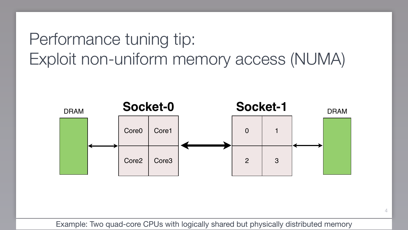# Performance tuning tip: Exploit non-uniform memory access (NUMA)





#### Example: Two quad-core CPUs with logically shared but physically distributed memory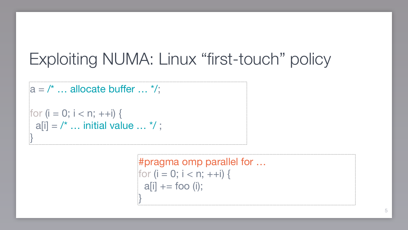### Exploiting NUMA: Linux "first-touch" policy



 $a = \frac{*}{\ldots}$  allocate buffer  $\ldots$   $\frac{*}{\ldots}$ for  $(i = 0; i < n; ++i)$  {  $a[i] = /^* ...$  initial value ...  $*/;$ }

> for  $(i = 0; i < n; ++i)$  {  $a[i] +=$  foo (i); }

```
#pragma omp parallel for …
```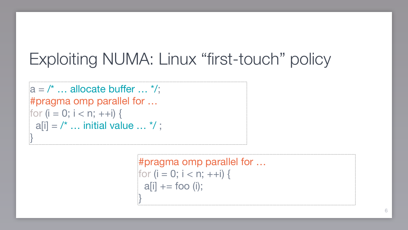## Exploiting NUMA: Linux "first-touch" policy



 $a = \frac{\pi}{1}$ ... allocate buffer ...  $\frac{\pi}{1}$ ; #pragma omp parallel for … for  $(i = 0; i < n; ++i)$  {  $a[i] = /^* ...$  initial value ...  $*/;$ }

> for  $(i = 0; i < n; ++i)$  {  $a[i] +=$  foo (i); }

```
#pragma omp parallel for …
```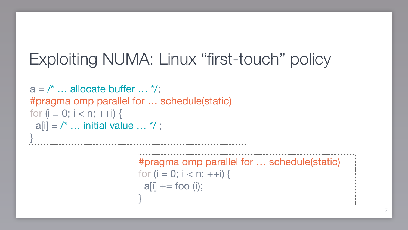## Exploiting NUMA: Linux "first-touch" policy



 $a = \frac{\pi}{1}$ ... allocate buffer ...  $\frac{\pi}{1}$ ; #pragma omp parallel for … schedule(static) for  $(i = 0; i < n; ++i)$  {  $a[i] = \prime^*$  ... initial value ...  $*/$ ; }

> #pragma omp parallel for … schedule(static) for  $(i = 0; i < n; ++i)$  {  $a[i] +=$  foo (i); }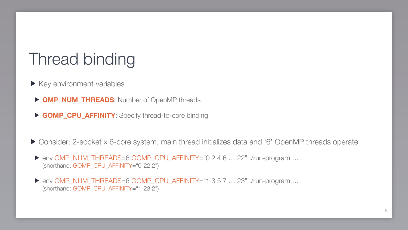### Thread binding

Key environment variables

**COMP\_NUM\_THREADS:** Number of OpenMP threads

**GOMP\_CPU\_AFFINITY**: Specify thread-to-core binding

▶ Consider: 2-socket x 6-core system, main thread initializes data and '6' OpenMP threads operate

env OMP\_NUM\_THREADS=6 GOMP\_CPU\_AFFINITY="0 2 4 6 … 22" ./run-program … (shorthand: GOMP\_CPU\_AFFINITY="0-22:2")

env OMP\_NUM\_THREADS=6 GOMP\_CPU\_AFFINITY="1 3 5 7 … 23" ./run-program … (shorthand: GOMP\_CPU\_AFFINITY="1-23:2")

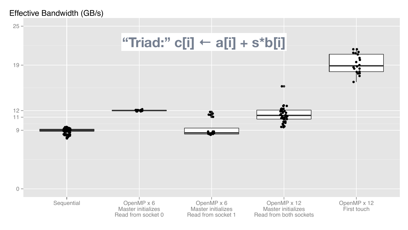

#### Effective Bandwidth (GB/s)